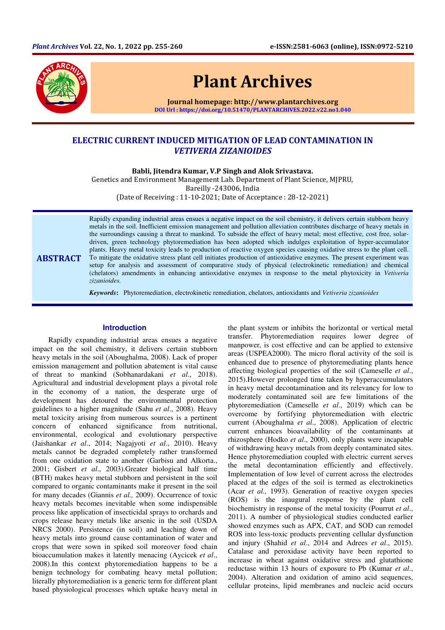

# Plant Archives

Journal homepage: http://www.plantarchives.org DOI Url : https://doi.org/10.51470/PLANTARCHIVES.2022.v22.no1.040

# ELECTRIC CURRENT INDUCED MITIGATION OF LEAD CONTAMINATION IN VETIVERIA ZIZANIOIDES

Babli, Jitendra Kumar, V.P Singh and Alok Srivastava.

Genetics and Environment Management Lab. Department of Plant Science, MJPRU, Bareilly -243006, India

(Date of Receiving : 11-10-2021; Date of Acceptance : 28-12-2021)

ABSTRACT Rapidly expanding industrial areas ensues a negative impact on the soil chemistry, it delivers certain stubborn heavy metals in the soil. Inefficient emission management and pollution alleviation contributes discharge of heavy metals in the surroundings causing a threat to mankind. To subside the effect of heavy metal; most effective, cost free, solardriven, green technology phytoremediation has been adopted which indulges exploitation of hyper-accumulator plants. Heavy metal toxicity leads to production of reactive oxygen species causing oxidative stress to the plant cell. To mitigate the oxidative stress plant cell initiates production of antioxidative enzymes. The present experiment was setup for analysis and assessment of comparative study of physical (electrokinetic remediation) and chemical (chelators) amendments in enhancing antioxidative enzymes in response to the metal phytoxicity in *Vetiveria zizanioides.* 

*Keywords***:** Phytoremediation, electrokinetic remediation, chelators, antioxidants and *Vetiveria zizanioides*

# **Introduction**

Rapidly expanding industrial areas ensues a negative impact on the soil chemistry, it delivers certain stubborn heavy metals in the soil (Aboughalma, 2008). Lack of proper emission management and pollution abatement is vital cause of threat to mankind (Sobhanardakani *et al*., 2018). Agricultural and industrial development plays a pivotal role in the economy of a nation, the desperate urge of development has detoured the environmental protection guidelines to a higher magnitude (Sahu *et al*., 2008). Heavy metal toxicity arising from numerous sources is a pertinent concern of enhanced significance from nutritional, environmental, ecological and evolutionary perspective (Jaishankar *et al*., 2014; Nagajyoti *et al*., 2010). Heavy metals cannot be degraded completely rather transformed from one oxidation state to another (Garbisu and Alkorta., 2001; Gisbert *et al*., 2003).Greater biological half time (BTH) makes heavy metal stubborn and persistent in the soil compared to organic contaminants make it present in the soil for many decades (Giannis *et al.,* 2009). Occurrence of toxic heavy metals becomes inevitable when some indispensible process like application of insecticidal sprays to orchards and crops release heavy metals like arsenic in the soil (USDA NRCS 2000). Persistence (in soil) and leaching down of heavy metals into ground cause contamination of water and crops that were sown in spiked soil moreover food chain bioaccumulation makes it latently menacing (Aycicek *et al*., 2008).In this context phytoremediation happens to be a benign technology for combating heavy metal pollution; literally phytoremediation is a generic term for different plant based physiological processes which uptake heavy metal in

the plant system or inhibits the horizontal or vertical metal transfer. Phytoremediation requires lower degree of manpower, is cost effective and can be applied to extensive areas (USPEA2000). The micro floral activity of the soil is enhanced due to presence of phytoremediating plants hence affecting biological properties of the soil (Cameselle *et al*., 2015).However prolonged time taken by hyperaccumulators in heavy metal decontamination and its relevancy for low to moderately contaminated soil are few limitations of the phytoremediation (Cameselle *et al*., 2019) which can be overcome by fortifying phytoremediation with electric current (Aboughalma *et al*., 2008). Application of electric current enhances bioavailability of the contaminants at rhizosphere (Hodko *et al*., 2000), only plants were incapable of withdrawing heavy metals from deeply contaminated sites. Hence phytoremediation coupled with electric current serves the metal decontamination efficiently and effectively. Implementation of low level of current across the electrodes placed at the edges of the soil is termed as electrokinetics (Acar *et al.,* 1993). Generation of reactive oxygen species (ROS) is the inaugural response by the plant cell biochemistry in response of the metal toxicity (Pourrut *et al*., 2011). A number of physiological studies conducted earlier showed enzymes such as APX, CAT, and SOD can remodel ROS into less-toxic products preventing cellular dysfunction and injury (Shahid *et al*., 2014 and Adrees *et al*., 2015). Catalase and peroxidase activity have been reported to increase in wheat against oxidative stress and glutathione reductase within 13 hours of exposure to Pb (Kumar *et al*., 2004). Alteration and oxidation of amino acid sequences, cellular proteins, lipid membranes and nucleic acid occurs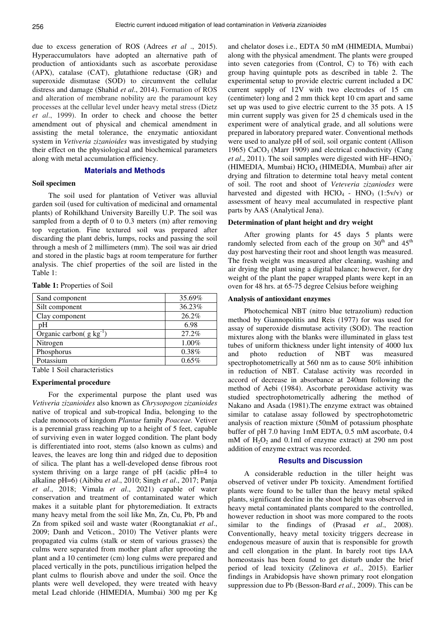due to excess generation of ROS (Adrees *et al* ., 2015). Hyperaccumulators have adopted an alternative path of production of antioxidants such as ascorbate peroxidase (APX), catalase (CAT), glutathione reductase (GR) and superoxide dismutase (SOD) to circumvent the cellular distress and damage (Shahid *et al*., 2014). Formation of ROS and alteration of membrane nobility are the paramount key processes at the cellular level under heavy metal stress (Dietz *et al*., 1999). In order to check and choose the better amendment out of physical and chemical amendment in assisting the metal tolerance, the enzymatic antioxidant system in *Vetiveria zizanioides* was investigated by studying their effect on the physiological and biochemical parameters along with metal accumulation efficiency.

# **Materials and Methods**

## **Soil specimen**

The soil used for plantation of Vetiver was alluvial garden soil (used for cultivation of medicinal and ornamental plants) of Rohilkhand University Bareilly U.P. The soil was sampled from a depth of 0 to 0.3 meters (m) after removing top vegetation. Fine textured soil was prepared after discarding the plant debris, lumps, rocks and passing the soil through a mesh of 2 millimeters (mm). The soil was air dried and stored in the plastic bags at room temperature for further analysis. The chief properties of the soil are listed in the Table 1:

| Sand component                | 35.69% |
|-------------------------------|--------|
| Silt component                | 36.23% |
| Clay component                | 26.2%  |
| pΗ                            | 6.98   |
| Organic carbon( $g kg^{-1}$ ) | 27.2%  |
| Nitrogen                      | 1.00%  |
| Phosphorus                    | 0.38%  |
| Potassium                     | 0.65%  |
| <b>m</b> 11 1 0 11 1          |        |

Table 1 Soil characteristics

### **Experimental procedure**

For the experimental purpose the plant used was *Vetiveria zizanioides* also known as *Chrysopogon zizanioides* native of tropical and sub-tropical India, belonging to the clade monocots of kingdom *Plantae* family *Poaceae.* Vetiver is a perennial grass reaching up to a height of 5 feet, capable of surviving even in water logged condition. The plant body is differentiated into root, stems (also known as culms) and leaves, the leaves are long thin and ridged due to deposition of silica. The plant has a well-developed dense fibrous root system thriving on a large range of pH (acidic pH=4 to alkaline pH=6) (Aibibu *et al*., 2010; Singh *et al*., 2017; Panja *et al*., 2018; Vimala *et al*., 2021) capable of water conservation and treatment of contaminated water which makes it a suitable plant for phytoremediation. It extracts many heavy metal from the soil like Mn, Zn, Cu, Pb, Pb and Zn from spiked soil and waste water (Roongtanakiat *et al*., 2009; Danh and Veticon., 2010) The Vetiver plants were propagated via culms (stalk or stem of various grasses) the culms were separated from mother plant after uprooting the plant and a 10 centimeter (cm) long culms were prepared and placed vertically in the pots, punctilious irrigation helped the plant culms to flourish above and under the soil. Once the plants were well developed, they were treated with heavy metal Lead chloride (HIMEDIA, Mumbai) 300 mg per Kg

and chelator doses i.e., EDTA 50 mM (HIMEDIA, Mumbai) along with the physical amendment. The plants were grouped into seven categories from (Control, C) to T6) with each group having quintuple pots as described in table 2. The experimental setup to provide electric current included a DC current supply of 12V with two electrodes of 15 cm (centimeter) long and 2 mm thick kept 10 cm apart and same set up was used to give electric current to the 35 pots. A 15 min current supply was given for 25 d chemicals used in the experiment were of analytical grade, and all solutions were prepared in laboratory prepared water. Conventional methods were used to analyze pH of soil, soil organic content (Allison 1965)  $CaCO<sub>3</sub>$  (Marr 1909) and electrical conductivity (Cang *et al.*, 2011). The soil samples were digested with  $HF-HNO<sub>3</sub>$ . (HIMEDIA, Mumbai) HClO<sub>4</sub> (HIMEDIA, Mumbai) after air drying and filtration to determine total heavy metal content of soil. The root and shoot of *Veteveria zizaniodes* were harvested and digested with  $HClO<sub>4</sub>$  -  $HNO<sub>3</sub>$  (1:5v/v) or assessment of heavy meal accumulated in respective plant parts by AAS (Analytical Jena).

#### **Determination of plant height and dry weight**

After growing plants for 45 days 5 plants were randomly selected from each of the group on  $30<sup>th</sup>$  and  $45<sup>th</sup>$ day post harvesting their root and shoot length was measured. The fresh weight was measured after cleaning, washing and air drying the plant using a digital balance; however, for dry weight of the plant the paper wrapped plants were kept in an oven for 48 hrs. at 65-75 degree Celsius before weighing

#### **Analysis of antioxidant enzymes**

Photochemical NBT (nitro blue tetrazolium) reduction method by Giannopolitis and Reis (1977) for was used for assay of superoxide dismutase activity (SOD). The reaction mixtures along with the blanks were illuminated in glass test tubes of uniform thickness under light intensity of 4000 lux and photo reduction of NBT was measured spectrophotometrically at 560 nm as to cause 50% inhibition in reduction of NBT. Catalase activity was recorded in accord of decrease in absorbance at 240nm following the method of Aebi (1984). Ascorbate peroxidase activity was studied spectrophotometrically adhering the method of Nakano and Asada (1981).The enzyme extract was obtained similar to catalase assay followed by spectrophotometric analysis of reaction mixture (50mM of potassium phosphate buffer of pH 7.0 having 1mM EDTA, 0.5 mM ascorbate, 0.4 mM of  $H_2O_2$  and 0.1ml of enzyme extract) at 290 nm post addition of enzyme extract was recorded.

#### **Results and Discussion**

A considerable reduction in the tiller height was observed of vetiver under Pb toxicity. Amendment fortified plants were found to be taller than the heavy metal spiked plants, significant decline in the shoot height was observed in heavy metal contaminated plants compared to the controlled, however reduction in shoot was more compared to the roots similar to the findings of (Prasad *et al*., 2008). Conventionally, heavy metal toxicity triggers decrease in endogenous measure of auxin that is responsible for growth and cell elongation in the plant. In barely root tips IAA homeostasis has been found to get disturb under the brief period of lead toxicity (Zelinova *et al*., 2015). Earlier findings in Arabidopsis have shown primary root elongation suppression due to Pb (Besson-Bard *et al*., 2009). This can be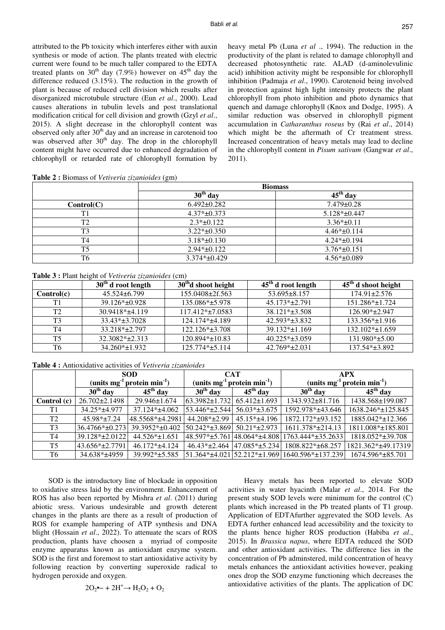attributed to the Pb toxicity which interferes either with auxin synthesis or mode of action. The plants treated with electric current were found to be much taller compared to the EDTA treated plants on  $30<sup>th</sup>$  day (7.9%) however on  $45<sup>th</sup>$  day the difference reduced (3.15%). The reduction in the growth of plant is because of reduced cell division which results after disorganized microtubule structure (Eun *et al*., 2000). Lead causes alterations in tubulin levels and post translational modification critical for cell division and growth (Gzyl *et al*., 2015). A slight decrease in the chlorophyll content was observed only after  $30<sup>th</sup>$  day and an increase in carotenoid too was observed after 30<sup>th</sup> day. The drop in the chlorophyll content might have occurred due to enhanced degradation of chlorophyll or retarded rate of chlorophyll formation by heavy metal Pb (Luna *et al* ., 1994). The reduction in the productivity of the plant is related to damage chlorophyll and decreased photosynthetic rate. ALAD (d-aminolevulinic acid) inhibition activity might be responsible for chlorophyll inhibition (Padmaja *et al*., 1990). Carotenoid being involved in protection against high light intensity protects the plant chlorophyll from photo inhibition and photo dynamics that quench and damage chlorophyll (Knox and Dodge, 1995). A similar reduction was observed in chlorophyll pigment accumulation in *Catharanthus roseus* by (Rai *et al*., 2014) which might be the aftermath of Cr treatment stress. Increased concentration of heavy metals may lead to decline in the chlorophyll content in *Pisum sativum* (Gangwar *et al*., 2011).

**Table 2 :** Biomass of *Vetiveria zizanioides* (gm)

|                | <b>Biomass</b>    |                    |  |  |  |
|----------------|-------------------|--------------------|--|--|--|
|                | $30th$ day        | $45th$ day         |  |  |  |
| Control(C)     | $6.492 \pm 0.282$ | $7.479 \pm 0.28$   |  |  |  |
| T1             | $4.37* \pm 0.373$ | $5.128* \pm 0.447$ |  |  |  |
| T <sub>2</sub> | $2.3*+0.122$      | $3.36* \pm 0.11$   |  |  |  |
| T <sub>3</sub> | $3.22*+0.350$     | $4.46* \pm 0.114$  |  |  |  |
| T <sub>4</sub> | $3.18* \pm 0.130$ | $4.24* \pm 0.194$  |  |  |  |
| T <sub>5</sub> | $2.94*+0.122$     | $3.76*+0.151$      |  |  |  |
| T <sub>6</sub> | $3.374*+0.429$    | $4.56* \pm 0.089$  |  |  |  |

**Table 3 :** Plant height of *Vetiveria zizanioides* (cm)

|                | $30th$ d root length | $30th$ d shoot height | $45th$ d root length | $45th$ d shoot height |
|----------------|----------------------|-----------------------|----------------------|-----------------------|
| Control(c)     | $45.524 \pm 6.799$   | $155.0408 \pm 2f.563$ | $53.695 \pm 8.157$   | $174.91 \pm 2.576$    |
| T1             | 39.126*±0.928        | 135.086*±5.978        | $45.173*+2.791$      | 151.286*±1.724        |
| T <sub>2</sub> | 30.9418*±4.119       | $117.412* + 7.0583$   | $38.121* \pm 3.508$  | $126.90*+2.947$       |
| T <sub>3</sub> | $33.43* \pm 3.7028$  | 124.174*±4.189        | 42.593*±3.832        | 133.356*±1.916        |
| T4             | 33.218*±2.797        | $122.126* \pm 3.708$  | $39.132* \pm 1.169$  | $132.102* \pm 1.659$  |
| T <sub>5</sub> | 32.3082*±2.313       | 120.894*±10.83        | $40.225*±3.059$      | $131.980* \pm 5.00$   |
| T6             | $34.260* \pm 1.932$  | 125.774*±5.114        | $42.769*+2.031$      | 137.54*±3.892         |

**Table 4 :** Antioxidative activities of *Vetiveria zizanioides*

|                | <b>SOD</b>                                          |                     | <b>CAT</b>                               |                                    | <b>APX</b>                                    |                    |
|----------------|-----------------------------------------------------|---------------------|------------------------------------------|------------------------------------|-----------------------------------------------|--------------------|
|                | (units mg <sup>-1</sup> protein min <sup>-1</sup> ) |                     | (units mg $1$ protein min <sup>1</sup> ) |                                    | (units mg $1$ protein min <sup>1</sup> )      |                    |
|                | $30th$ day                                          | $45th$ day          | $30th$ day                               | $45th$ day                         | $30th$ day                                    | $45th$ day         |
| Control (c)    | 26.702±2.1498                                       | 29.946±1.674        | $ 63.3982 \pm 1.732 $ 65.412 $\pm 1.693$ |                                    | 1343.932±81.716                               | 1438.568±199.087   |
| T1             | 34.25*±4.977                                        | 37.124*±4.062       | 53.446*±2.544                            | $56.03*±3.675$                     | 1592.978*±43.646                              | 1638.246*±125.845  |
| T <sub>2</sub> | $45.98*+7.24$                                       | 48.5568*±4.2981     | $44.208*+2.99$                           | $45.15*+4.196$                     | 1872.172*±93.152                              | 1885.042*±12.366   |
| T <sub>3</sub> | 36.4766*±0.273                                      | 39.3952*±0.402      | $50.242* \pm 3.869$                      | $50.21*+2.973$                     | 1611.378*±214.13                              | 1811.008*±185.801  |
| T4             | 39.128*±2.0122                                      | $44.526* \pm 1.651$ |                                          |                                    | 48.597*±5.761 48.064*±4.808 1763.444*±35.2633 | 1818.052*±39.708   |
| T <sub>5</sub> | 43.656*±2.7791                                      | $46.172*+4.124$     |                                          | $46.43*+2.464$ 47.085* $\pm$ 5.234 | 1808.822*±68.257                              | 1821.362*±49.17319 |
| T6             | 34.638*±4959                                        | 39.992*±5.585       |                                          |                                    | 51.364*±4.021 52.212*±1.969 1640.596*±137.239 | 1674.596*±85.701   |

SOD is the introductory line of blockade in opposition to oxidative stress laid by the environment. Enhancement of ROS has also been reported by Mishra *et al*. (2011) during abiotic sress. Various undesirable and growth deterent changes in the plants are there as a result of production of ROS for example hampering of ATP synthesis and DNA blight (Hossain *et al*., 2022). To attenuate the scars of ROS production, plants have choosen a myriad of composite enzyme apparatus known as antioxidant enzyme system. SOD is the first and foremost to start antioxidative activity by following reaction by converting superoxide radical to hydrogen peroxide and oxygen.

Heavy metals has been reported to elevate SOD activities in water hyacinth (Malar *et al*., 2014. For the present study SOD levels were minimum for the control (C) plants which increased in the Pb treated plants of T1 group. Application of EDTAfurther aggrevated the SOD levels. As EDTA further enhanced lead accessibility and the toxicity to the plants hence higher ROS production (Habiba *et al*., 2015). In *Brassica napus*, where EDTA reduced the SOD and other antioxidant activities. The difference lies in the concentration of Pb adminstered, mild concentration of heavy metals enhances the antioxidant activities however, peaking ones drop the SOD enzyme functioning which decreases the antioxidative activities of the plants. The application of DC

$$
2O_2 \bullet - + 2H^+ \rightarrow H_2O_2 + O_2
$$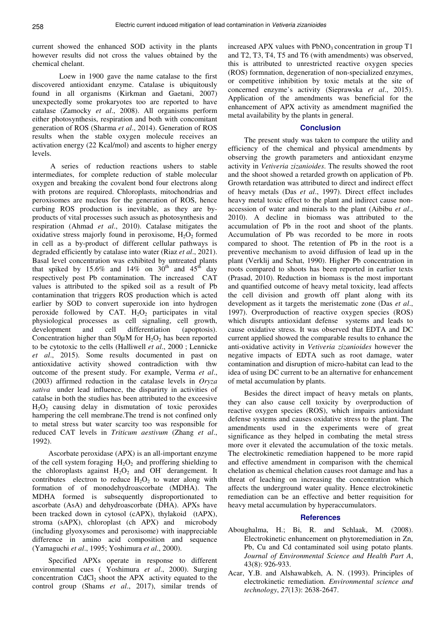current showed the enhanced SOD activity in the plants however results did not cross the values obtained by the chemical chelant.

 Loew in 1900 gave the name catalase to the first discovered antioxidant enzyme. Catalase is ubiquitously found in all organisms (Kirkman and Gaetani, 2007) unexpectedly some prokaryotes too are reported to have catalase (Zamocky *et al*., 2008). All organisms perform either photosynthesis, respiration and both with concomitant generation of ROS (Sharma *et al*., 2014). Generation of ROS results when the stable oxygen molecule receives an activation energy (22 Kcal/mol) and ascents to higher energy levels.

 A series of reduction reactions ushers to stable intermediates, for complete reduction of stable molecular oxygen and breaking the covalent bond four electrons along with protons are required. Chloroplasts, mitochondrias and peroxisomes are nucleus for the generation of ROS, hence curbing ROS production is inevitable, as they are byproducts of vital processes such assuch as photosynthesis and respiration (Ahmad *et al*., 2010). Catalase mitigates the oxidative stress majorly found in peroxisome,  $H_2O_2$  formed in cell as a by-product of different cellular pathways is degraded efficiently by catalase into water (Riaz *et al*., 2021). Basal level concentration was exhibited by untreated plants that spiked by 15.6% and 14% on  $30<sup>th</sup>$  and  $45<sup>th</sup>$  day respectively post Pb contamination. The increased CAT values is attributed to the spiked soil as a result of Pb contamination that triggers ROS production which is acted earlier by SOD to convert superoxide ion into hydrogen peroxide followed by CAT.  $H_2O_2$  participates in vital physiological processes as cell signaling, cell growth, development and cell differentiation (apoptosis). Concentration higher than  $50\mu$ M for  $H_2O_2$  has been reported to be cytotoxic to the cells (Halliwell *et al*., 2000 ; Lennicke *et al*., 2015). Some results documented in past on antioxidative activity showed contradiction with thw outcome of the present study. For example, Verma *et al*., (2003) affirmed reduction in the catalase levels in *Oryza sativa* under lead influence, the disparirty in activities of catalse in both the studies has been attributed to the exceesive  $H_2O_2$  causing delay in dismutation of toxic peroxides hampering the cell membrane.The trend is not confined only to metal stress but water scarcity too was responsible for reduced CAT levels in *Triticum aestivum* (Zhang *et al*., 1992).

Ascorbate peroxidase (APX) is an all-important enzyme of the cell system foraging  $H_2O_2$  and proffering shielding to the chloroplasts against  $H_2O_2$  and OH derangement. It contributes electron to reduce  $H_2O_2$  to water along with formation of of monodehydroascorbate (MDHA). The MDHA formed is subsequently disproportionated to ascorbate (AsA) and dehydroascorbate (DHA). APXs have been tracked down in cytosol (cAPX), thylakoid (tAPX), stroma (sAPX), chloroplast (ch APX) and microbody (including glyoxysomes and peroxisome) with inappreciable difference in amino acid composition and sequence (Yamaguchi *et al*., 1995; Yoshimura *et al*., 2000).

Specified APXs operate in response to different environmental cues ( Yoshimura *et al*., 2000). Surging concentration  $CdCl<sub>2</sub>$  shoot the APX activity equated to the control group (Shams *et al*., 2017), similar trends of

increased APX values with  $PbNO<sub>3</sub>$  concentration in group T1 and T2, T3, T4, T5 and T6 (with amendments) was observed, this is attributed to unrestricted reactive oxygen species (ROS) formnation, degeneration of non-specialized enzymes, or competitive inhibition by toxic metals at the site of concerned enzyme's activity (Sieprawska *et al*., 2015). Application of the amendments was beneficial for the enhancement of APX activity as amendment magnified the metal availability by the plants in general.

# **Conclusion**

The present study was taken to compare the utility and efficiency of the chemical and physical amendments by observing the growth parameters and antioxidant enzyme activity in *Vetiveria zizanioides*. The results showed the root and the shoot showed a retarded growth on application of Pb. Growth retardation was attributed to direct and indirect effect of heavy metals (Das *et al*., 1997). Direct effect includes heavy metal toxic effect to the plant and indirect cause nonaccession of water and minerals to the plant (Aibibu *et al*., 2010). A decline in biomass was attributed to the accumulation of Pb in the root and shoot of the plants. Accumulation of Pb was recorded to be more in roots compared to shoot. The retention of Pb in the root is a preventive mechanism to avoid diffusion of lead up in the plant (Verklij and Schat, 1990). Higher Pb concentration in roots compared to shoots has been reported in earlier texts (Prasad, 2010). Reduction in biomass is the most important and quantified outcome of heavy metal toxicity, lead affects the cell division and growth off plant along with its development as it targets the meristematic zone (Das *et al*., 1997). Overproduction of reactive oxygen species (ROS) which disrupts antioxidant defense systems and leads to cause oxidative stress. It was observed that EDTA and DC current applied showed the comparable results to enhance the anti-oxidative activity in *Vetiveria zizanioides* however the negative impacts of EDTA such as root damage, water contamination and disruption of micro-habitat can lead to the idea of using DC current to be an alternative for enhancement of metal accumulation by plants.

Besides the direct impact of heavy metals on plants, they can also cause cell toxicity by overproduction of reactive oxygen species (ROS), which impairs antioxidant defense systems and causes oxidative stress to the plant. The amendments used in the experiments were of great significance as they helped in combating the metal stress more over it elevated the accumulation of the toxic metals. The electrokinetic remediation happened to be more rapid and effective amendment in comparison with the chemical chelation as chemical chelation causes root damage and has a threat of leaching on increasing the concentration which affects the underground water quality. Hence electrokinetic remediation can be an effective and better requisition for heavy metal accumulation by hyperaccumulators.

#### **References**

- Aboughalma, H.; Bi, R. and Schlaak, M. (2008). Electrokinetic enhancement on phytoremediation in Zn, Pb, Cu and Cd contaminated soil using potato plants. *Journal of Environmental Science and Health Part A*, 43(8): 926-933.
- Acar, Y.B. and Alshawabkeh, A. N. (1993). Principles of electrokinetic remediation. *Environmental science and technology*, *27*(13): 2638-2647.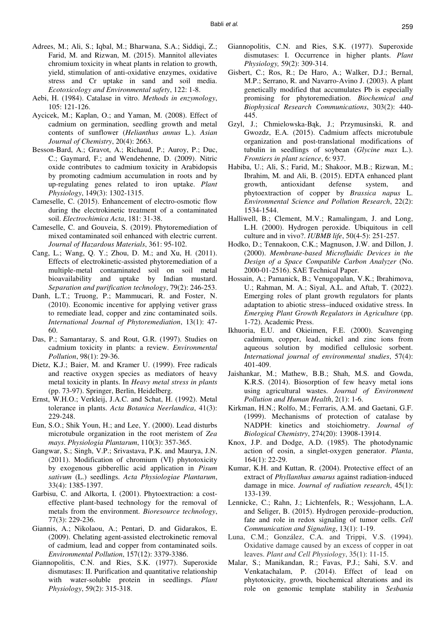- Adrees, M.; Ali, S.; Iqbal, M.; Bharwana, S.A.; Siddiqi, Z.; Farid, M. and Rizwan, M. (2015). Mannitol alleviates chromium toxicity in wheat plants in relation to growth, yield, stimulation of anti-oxidative enzymes, oxidative stress and Cr uptake in sand and soil media. *Ecotoxicology and Environmental safety*, 122: 1-8.
- Aebi, H. (1984). Catalase in vitro. *Methods in enzymology*, 105: 121-126.
- Aycicek, M.; Kaplan, O.; and Yaman, M. (2008). Effect of cadmium on germination, seedling growth and metal contents of sunflower (*Helianthus annus* L.). *Asian Journal of Chemistry*, 20(4): 2663.
- Besson-Bard, A.; Gravot, A.; Richaud, P.; Auroy, P.; Duc, C.; Gaymard, F.; and Wendehenne, D. (2009). Nitric oxide contributes to cadmium toxicity in Arabidopsis by promoting cadmium accumulation in roots and by up-regulating genes related to iron uptake. *Plant Physiology*, 149(3): 1302-1315.
- Cameselle, C. (2015). Enhancement of electro-osmotic flow during the electrokinetic treatment of a contaminated soil. *Electrochimica Acta*, 181: 31-38.
- Cameselle, C. and Gouveia, S. (2019). Phytoremediation of mixed contaminated soil enhanced with electric current. *Journal of Hazardous Materials*, 361: 95-102.
- Cang, L.; Wang, Q. Y.; Zhou, D. M.; and Xu, H. (2011). Effects of electrokinetic-assisted phytoremediation of a multiple-metal contaminated soil on soil metal bioavailability and uptake by Indian mustard. *Separation and purification technology*, 79(2): 246-253.
- Danh, L.T.; Truong, P.; Mammucari, R. and Foster, N. (2010). Economic incentive for applying vetiver grass to remediate lead, copper and zinc contaminated soils. *International Journal of Phytoremediation*, 13(1): 47- 60.
- Das, P.; Samantaray, S. and Rout, G.R. (1997). Studies on cadmium toxicity in plants: a review. *Environmental Pollution*, 98(1): 29-36.
- Dietz, K.J.; Baier, M. and Kramer U. (1999). Free radicals and reactive oxygen species as mediators of heavy metal toxicity in plants. In *Heavy metal stress in plants* (pp. 73-97). Springer, Berlin, Heidelberg.
- Ernst, W.H.O.; Verkleij, J.A.C. and Schat, H. (1992). Metal tolerance in plants. *Acta Botanica Neerlandica*, 41(3): 229-248.
- Eun, S.O.; Shik Youn, H.; and Lee, Y. (2000). Lead disturbs microtubule organization in the root meristem of *Zea mays*. *Physiologia Plantarum*, 110(3): 357-365.
- Gangwar, S.; Singh, V.P.; Srivastava, P.K. and Maurya, J.N. (2011). Modification of chromium (VI) phytotoxicity by exogenous gibberellic acid application in *Pisum sativum* (L.) seedlings. *Acta Physiologiae Plantarum*, 33(4): 1385-1397.
- Garbisu, C. and Alkorta, I. (2001). Phytoextraction: a costeffective plant-based technology for the removal of metals from the environment. *Bioresource technology*, 77(3): 229-236.
- Giannis, A.; Nikolaou, A.; Pentari, D. and Gidarakos, E. (2009). Chelating agent-assisted electrokinetic removal of cadmium, lead and copper from contaminated soils. *Environmental Pollution*, 157(12): 3379-3386.
- Giannopolitis, C.N. and Ries, S.K. (1977). Superoxide dismutases: II. Purification and quantitative relationship with water-soluble protein in seedlings. *Plant Physiology*, 59(2): 315-318.
- Giannopolitis, C.N. and Ries, S.K. (1977). Superoxide dismutases: I. Occurrence in higher plants. *Plant Physiology,* 59(2): 309-314.
- Gisbert, C.; Ros, R.; De Haro, A.; Walker, D.J.; Bernal, M.P.; Serrano, R. and Navarro-Avino J. (2003). A plant genetically modified that accumulates Pb is especially promising for phytoremediation. *Biochemical and Biophysical Research Communications*, 303(2): 440- 445.
- Gzyl, J.; Chmielowska-Bąk, J.; Przymusinski, R. and Gwozdz, E.A. (2015). Cadmium affects microtubule organization and post-translational modifications of tubulin in seedlings of soybean (*Glycine max* L.). *Frontiers in plant science*, 6: 937.
- Habiba, U.; Ali, S.; Farid, M.; Shakoor, M.B.; Rizwan, M.; Ibrahim, M. and Ali, B. (2015). EDTA enhanced plant growth, antioxidant defense system, and phytoextraction of copper by *Brassica napus* L. *Environmental Science and Pollution Research*, 22(2): 1534-1544.
- Halliwell, B.; Clement, M.V.; Ramalingam, J. and Long, L.H. (2000). Hydrogen peroxide. Ubiquitous in cell culture and in vivo?. *IUBMB life*, 50(4-5): 251-257.
- Hodko, D.; Tennakoon, C.K.; Magnuson, J.W. and Dillon, J. (2000). *Membrane-based Microfluidic Devices in the Design of a Space Compatible Carbon Analyzer* (No. 2000-01-2516). SAE Technical Paper.
- Hossain, A.; Pamanick, B.; Venugopalan, V.K.; Ibrahimova, U.; Rahman, M. A.; Siyal, A.L. and Aftab, T. (2022). Emerging roles of plant growth regulators for plants adaptation to abiotic stress–induced oxidative stress. In *Emerging Plant Growth Regulators in Agriculture* (pp. 1-72). Academic Press.
- Ikhuoria, E.U. and Okieimen, F.E. (2000). Scavenging cadmium, copper, lead, nickel and zinc ions from aqueous solution by modified cellulosic sorbent. *International journal of environmental studies*, 57(4): 401-409.
- Jaishankar, M.; Mathew, B.B.; Shah, M.S. and Gowda, K.R.S. (2014). Biosorption of few heavy metal ions using agricultural wastes. *Journal of Environment Pollution and Human Health*, 2(1): 1-6.
- Kirkman, H.N.; Rolfo, M.; Ferraris, A.M. and Gaetani, G.F. (1999). Mechanisms of protection of catalase by NADPH: kinetics and stoichiometry. *Journal of Biological Chemistry*, 274(20): 13908-13914.
- Knox, J.P. and Dodge, A.D. (1985). The photodynamic action of eosin, a singlet-oxygen generator. *Planta*, 164(1): 22-29.
- Kumar, K.H. and Kuttan, R. (2004). Protective effect of an extract of *Phyllanthus amarus* against radiation-induced damage in mice. *Journal of radiation research*, 45(1): 133-139.
- Lennicke, C.; Rahn, J.; Lichtenfels, R.; Wessjohann, L.A. and Seliger, B. (2015). Hydrogen peroxide–production, fate and role in redox signaling of tumor cells. *Cell Communication and Signaling*, 13(1): 1-19.
- Luna, C.M.; González, C.A. and Trippi, V.S. (1994). Oxidative damage caused by an excess of copper in oat leaves. *Plant and Cell Physiology*, 35(1): 11-15.
- Malar, S.; Manikandan, R.; Favas, P.J.; Sahi, S.V. and Venkatachalam, P. (2014). Effect of lead on phytotoxicity, growth, biochemical alterations and its role on genomic template stability in *Sesbania*